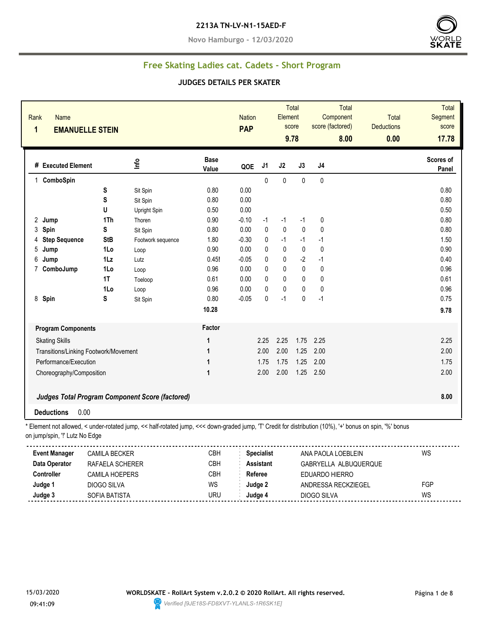#### **2213A TN-LV-N1-15AED-F**

**Novo Hamburgo - 12/03/2020**



# **Free Skating Ladies cat. Cadets - Short Program**

#### **JUDGES DETAILS PER SKATER**

| <b>Name</b><br>Rank<br>1              | <b>EMANUELLE STEIN</b> |                                                                                                                                                          |                      | <b>Nation</b><br><b>PAP</b> |                   | Element      | Total<br>score<br>9.78 | <b>Total</b><br>Component<br>score (factored)<br>8.00 | <b>Total</b><br><b>Deductions</b><br>0.00 | <b>Total</b><br>Segment<br>score<br>17.78 |
|---------------------------------------|------------------------|----------------------------------------------------------------------------------------------------------------------------------------------------------|----------------------|-----------------------------|-------------------|--------------|------------------------|-------------------------------------------------------|-------------------------------------------|-------------------------------------------|
| # Executed Element                    |                        | Info                                                                                                                                                     | <b>Base</b><br>Value | QOE                         | J1                | J2           | J3                     | J <sub>4</sub>                                        |                                           | Scores of<br>Panel                        |
| 1 ComboSpin                           |                        |                                                                                                                                                          |                      |                             | $\Omega$          | $\Omega$     | $\mathbf{0}$           | $\Omega$                                              |                                           |                                           |
|                                       | S                      | Sit Spin                                                                                                                                                 | 0.80                 | 0.00                        |                   |              |                        |                                                       |                                           | 0.80                                      |
|                                       | S                      | Sit Spin                                                                                                                                                 | 0.80                 | 0.00                        |                   |              |                        |                                                       |                                           | 0.80                                      |
|                                       | U                      | Upright Spin                                                                                                                                             | 0.50                 | 0.00                        |                   |              |                        |                                                       |                                           | 0.50                                      |
| 2 Jump                                | 1Th                    | Thoren                                                                                                                                                   | 0.90                 | $-0.10$                     | $-1$              | $-1$         | $-1$                   | 0                                                     |                                           | 0.80                                      |
| 3 Spin                                | S                      | Sit Spin                                                                                                                                                 | 0.80                 | 0.00                        | $\mathbf{0}$      | $\pmb{0}$    | $\mathbf{0}$           | $\mathbf{0}$                                          |                                           | 0.80                                      |
| <b>Step Sequence</b><br>4             | <b>StB</b>             | Footwork sequence                                                                                                                                        | 1.80                 | $-0.30$                     | 0                 | $-1$         | $-1$                   | $-1$                                                  |                                           | 1.50                                      |
| 5<br>Jump                             | 1Lo                    | Loop                                                                                                                                                     | 0.90                 | 0.00                        | 0                 | 0            | $\mathbf 0$            | $\mathbf 0$                                           |                                           | 0.90                                      |
| 6<br>Jump                             | $1\mathsf{L}z$         | Lutz                                                                                                                                                     | 0.45!                | $-0.05$                     | 0                 | $\mathbf 0$  | $-2$                   | $-1$                                                  |                                           | 0.40                                      |
| 7 ComboJump                           | 1Lo                    | Loop                                                                                                                                                     | 0.96                 | 0.00                        | 0                 | $\pmb{0}$    | $\pmb{0}$              | $\pmb{0}$                                             |                                           | 0.96                                      |
|                                       | 1T                     | Toeloop                                                                                                                                                  | 0.61                 | 0.00                        | 0                 | $\mathbf{0}$ | $\mathbf{0}$           | $\mathbf{0}$                                          |                                           | 0.61                                      |
|                                       | 1Lo                    | Loop                                                                                                                                                     | 0.96                 | 0.00                        | 0                 | $\mathbf{0}$ | 0                      | $\mathbf 0$                                           |                                           | 0.96                                      |
| 8 Spin                                | S                      | Sit Spin                                                                                                                                                 | 0.80                 | $-0.05$                     | 0                 | $-1$         | $\mathbf{0}$           | $-1$                                                  |                                           | 0.75                                      |
|                                       |                        |                                                                                                                                                          | 10.28                |                             |                   |              |                        |                                                       |                                           | 9.78                                      |
| <b>Program Components</b>             |                        |                                                                                                                                                          | Factor               |                             |                   |              |                        |                                                       |                                           |                                           |
| <b>Skating Skills</b>                 |                        |                                                                                                                                                          | 1                    |                             | 2.25              | 2.25         | 1.75                   | 2.25                                                  |                                           | 2.25                                      |
| Transitions/Linking Footwork/Movement |                        |                                                                                                                                                          | $\mathbf{1}$         |                             | 2.00              | 2.00         | 1.25                   | 2.00                                                  |                                           | 2.00                                      |
| Performance/Execution                 |                        |                                                                                                                                                          | $\mathbf{1}$         |                             | 1.75              | 1.75         | 1.25                   | 2.00                                                  |                                           | 1.75                                      |
| Choreography/Composition              |                        |                                                                                                                                                          | $\mathbf 1$          |                             | 2.00              | 2.00         |                        | 1.25 2.50                                             |                                           | 2.00                                      |
|                                       |                        |                                                                                                                                                          |                      |                             |                   |              |                        |                                                       |                                           |                                           |
|                                       |                        | <b>Judges Total Program Component Score (factored)</b>                                                                                                   |                      |                             |                   |              |                        |                                                       |                                           | 8.00                                      |
| <b>Deductions</b>                     | 0.00                   |                                                                                                                                                          |                      |                             |                   |              |                        |                                                       |                                           |                                           |
|                                       |                        | * Element not allowed, < under-rotated jump, << half-rotated jump, <<< down-graded jump, 'T' Credit for distribution (10%), '+' bonus on spin, '%' bonus |                      |                             |                   |              |                        |                                                       |                                           |                                           |
| on jump/spin, "!' Lutz No Edge        |                        |                                                                                                                                                          |                      |                             |                   |              |                        |                                                       |                                           |                                           |
| <b>Event Manager</b>                  | <b>CAMILA BECKER</b>   |                                                                                                                                                          | <b>CBH</b>           |                             | <b>Specialist</b> |              |                        | ANA PAOLA LOEBLEIN                                    |                                           | <b>WS</b>                                 |
| Data Operator                         | RAFAELA SCHERER        |                                                                                                                                                          | <b>CBH</b>           |                             | <b>Assistant</b>  |              |                        | GABRYELLA ALBUQUERQUE                                 |                                           |                                           |
| <b>Controller</b>                     | <b>CAMILA HOEPERS</b>  |                                                                                                                                                          | <b>CBH</b>           |                             | Referee           |              |                        | EDUARDO HIERRO                                        |                                           |                                           |
| Judge 1                               | <b>DIOGO SILVA</b>     |                                                                                                                                                          | WS                   |                             | Judge 2           |              |                        | ANDRESSA RECKZIEGEL                                   |                                           | FGP                                       |
| Judge 3                               | SOFIA BATISTA          |                                                                                                                                                          | <b>URU</b>           |                             | Judge 4           |              |                        | <b>DIOGO SILVA</b>                                    |                                           | <b>WS</b>                                 |

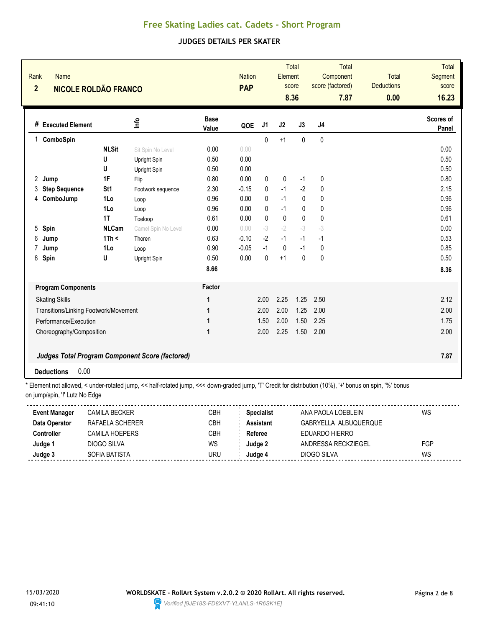## **JUDGES DETAILS PER SKATER**

| Rank<br>$\overline{2}$ | <b>Name</b><br><b>NICOLE ROLDÃO FRANCO</b> |              |                                                 |                      | <b>Nation</b><br><b>PAP</b> |                | Element   | <b>Total</b><br>score<br>8.36 | score (factored) | Total<br>Component<br>7.87 | <b>Total</b><br><b>Deductions</b><br>0.00 | Total<br><b>Segment</b><br>score<br>16.23 |
|------------------------|--------------------------------------------|--------------|-------------------------------------------------|----------------------|-----------------------------|----------------|-----------|-------------------------------|------------------|----------------------------|-------------------------------------------|-------------------------------------------|
|                        | # Executed Element                         |              | <u>Info</u>                                     | <b>Base</b><br>Value | QOE                         | J <sub>1</sub> | J2        | J3                            | J <sub>4</sub>   |                            |                                           | Scores of<br>Panel                        |
| $\mathbf{1}$           | ComboSpin                                  |              |                                                 |                      |                             | $\mathbf{0}$   | $+1$      | $\mathbf{0}$                  | $\mathbf{0}$     |                            |                                           |                                           |
|                        |                                            | <b>NLSit</b> | Sit Spin No Level                               | 0.00                 | 0.00                        |                |           |                               |                  |                            |                                           | 0.00                                      |
|                        |                                            | U            | Upright Spin                                    | 0.50                 | 0.00                        |                |           |                               |                  |                            |                                           | 0.50                                      |
|                        |                                            | U            | Upright Spin                                    | 0.50                 | 0.00                        |                |           |                               |                  |                            |                                           | 0.50                                      |
| 2 Jump                 |                                            | 1F           | Flip                                            | 0.80                 | 0.00                        | 0              | $\pmb{0}$ | $-1$                          | 0                |                            |                                           | 0.80                                      |
| 3                      | <b>Step Sequence</b>                       | St1          | Footwork sequence                               | 2.30                 | $-0.15$                     | 0              | $-1$      | $-2$                          | 0                |                            |                                           | 2.15                                      |
| 4                      | ComboJump                                  | 1Lo          | Loop                                            | 0.96                 | 0.00                        | $\mathbf{0}$   | $-1$      | $\mathbf{0}$                  | $\mathbf{0}$     |                            |                                           | 0.96                                      |
|                        |                                            | 1Lo          | Loop                                            | 0.96                 | 0.00                        | 0              | $-1$      | 0                             | $\mathbf{0}$     |                            |                                           | 0.96                                      |
|                        |                                            | 1T           | Toeloop                                         | 0.61                 | 0.00                        | $\mathbf{0}$   | $\pmb{0}$ | $\pmb{0}$                     | $\mathbf{0}$     |                            |                                           | 0.61                                      |
| $5\overline{)}$        | Spin                                       | <b>NLCam</b> | Camel Spin No Level                             | 0.00                 | 0.00                        | $-3$           | $-2$      | $-3$                          | $-3$             |                            |                                           | 0.00                                      |
| 6                      | Jump                                       | 1Th <        | Thoren                                          | 0.63                 | $-0.10$                     | $-2$           | $-1$      | $-1$                          | $-1$             |                            |                                           | 0.53                                      |
| $\overline{7}$         | Jump                                       | 1Lo          | Loop                                            | 0.90                 | $-0.05$                     | $-1$           | $\pmb{0}$ | $-1$                          | $\mathbf{0}$     |                            |                                           | 0.85                                      |
| 8                      | Spin                                       | U            | Upright Spin                                    | 0.50                 | 0.00                        | 0              | $+1$      | $\mathbf 0$                   | 0                |                            |                                           | 0.50                                      |
|                        |                                            |              |                                                 | 8.66                 |                             |                |           |                               |                  |                            |                                           | 8.36                                      |
|                        | <b>Program Components</b>                  |              |                                                 | Factor               |                             |                |           |                               |                  |                            |                                           |                                           |
|                        | <b>Skating Skills</b>                      |              |                                                 | 1                    |                             | 2.00           | 2.25      | 1.25                          | 2.50             |                            |                                           | 2.12                                      |
|                        | Transitions/Linking Footwork/Movement      |              |                                                 | 1                    |                             | 2.00           | 2.00      | 1.25                          | 2.00             |                            |                                           | 2.00                                      |
|                        | Performance/Execution                      |              |                                                 | 1                    |                             | 1.50           | 2.00      | 1.50                          | 2.25             |                            |                                           | 1.75                                      |
|                        | Choreography/Composition                   |              |                                                 | 1                    |                             | 2.00           | 2.25      | 1.50                          | 2.00             |                            |                                           | 2.00                                      |
|                        |                                            |              |                                                 |                      |                             |                |           |                               |                  |                            |                                           |                                           |
|                        |                                            |              | Judges Total Program Component Score (factored) |                      |                             |                |           |                               |                  |                            |                                           | 7.87                                      |
|                        | 0.00<br><b>Deductions</b>                  |              |                                                 |                      |                             |                |           |                               |                  |                            |                                           |                                           |

| <b>Event Manager</b> | <b>CAMILA BECKER</b> | СВН | <b>Specialist</b> | ANA PAOLA LOEBLEIN    | WS  |
|----------------------|----------------------|-----|-------------------|-----------------------|-----|
| Data Operator        | RAFAELA SCHERER      | CBH | <b>Assistant</b>  | GABRYELLA ALBUQUERQUE |     |
| <b>Controller</b>    | CAMILA HOFPFRS       | СВН | Referee           | FDUARDO HIFRRO        |     |
| Judge 1              | DIOGO SILVA          | WS  | Judge 2           | ANDRESSA RECKZIEGEL   | FGP |
| Judge 3              | SOFIA BATISTA        | uru | Judge 4           | DIOGO SILVA           | WS  |
|                      |                      |     |                   |                       |     |

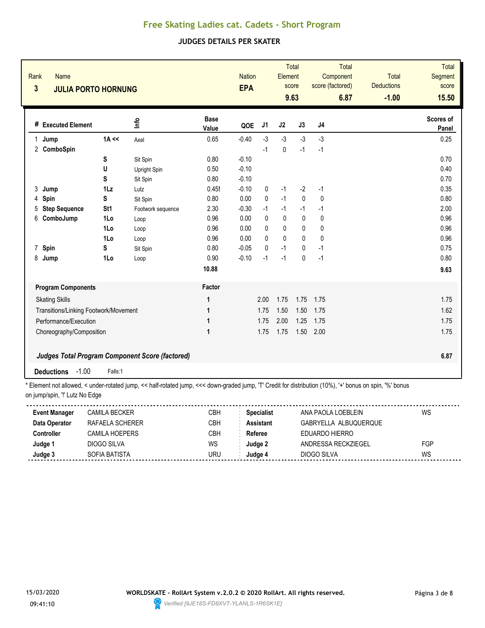## **JUDGES DETAILS PER SKATER**

| Rank<br><b>Name</b><br>$\overline{\mathbf{3}}$ | <b>JULIA PORTO HORNUNG</b> |                                                        |                      |         | <b>Nation</b><br><b>EPA</b> |              | <b>Total</b><br>Element<br>score<br>9.63 |                | Total<br>Component<br>score (factored)<br>6.87 | <b>Total</b><br><b>Deductions</b><br>$-1.00$ | <b>Total</b><br>Segment<br>score<br>15.50 |
|------------------------------------------------|----------------------------|--------------------------------------------------------|----------------------|---------|-----------------------------|--------------|------------------------------------------|----------------|------------------------------------------------|----------------------------------------------|-------------------------------------------|
| # Executed Element                             |                            | Info                                                   | <b>Base</b><br>Value | QOE     | J <sub>1</sub>              | J2           | J3                                       | J <sub>4</sub> |                                                |                                              | Scores of<br>Panel                        |
| Jump<br>1                                      | $1A \ll$                   | Axel                                                   | 0.65                 | $-0.40$ | $-3$                        | $-3$         | $-3$                                     | $-3$           |                                                |                                              | 0.25                                      |
| 2 ComboSpin                                    |                            |                                                        |                      |         | $-1$                        | $\mathbf 0$  | $-1$                                     | $-1$           |                                                |                                              |                                           |
|                                                | S                          | Sit Spin                                               | 0.80                 | $-0.10$ |                             |              |                                          |                |                                                |                                              | 0.70                                      |
|                                                | U                          | Upright Spin                                           | 0.50                 | $-0.10$ |                             |              |                                          |                |                                                |                                              | 0.40                                      |
|                                                | S                          | Sit Spin                                               | 0.80                 | $-0.10$ |                             |              |                                          |                |                                                |                                              | 0.70                                      |
| 3<br>Jump                                      | $1\mathsf{L}z$             | Lutz                                                   | 0.45!                | $-0.10$ | 0                           | $-1$         | $-2$                                     | $-1$           |                                                |                                              | 0.35                                      |
| Spin<br>4                                      | S                          | Sit Spin                                               | 0.80                 | 0.00    | $\mathbf{0}$                | $-1$         | $\mathbf{0}$                             | $\mathbf 0$    |                                                |                                              | 0.80                                      |
| <b>Step Sequence</b><br>5                      | St <sub>1</sub>            | Footwork sequence                                      | 2.30                 | $-0.30$ | $-1$                        | $-1$         | $-1$                                     | $-1$           |                                                |                                              | 2.00                                      |
| 6<br>ComboJump                                 | 1Lo                        | Loop                                                   | 0.96                 | 0.00    | 0                           | 0            | 0                                        | 0              |                                                |                                              | 0.96                                      |
|                                                | 1Lo                        | Loop                                                   | 0.96                 | 0.00    | 0                           | $\mathbf{0}$ | $\mathbf{0}$                             | $\mathbf{0}$   |                                                |                                              | 0.96                                      |
|                                                | 1Lo                        | Loop                                                   | 0.96                 | 0.00    | 0                           | $\mathbf{0}$ | $\mathbf{0}$                             | $\mathbf{0}$   |                                                |                                              | 0.96                                      |
| Spin<br>$\overline{7}$                         | S                          | Sit Spin                                               | 0.80                 | $-0.05$ | 0                           | $-1$         | 0                                        | $-1$           |                                                |                                              | 0.75                                      |
| 8<br>Jump                                      | 1Lo                        | Loop                                                   | 0.90                 | $-0.10$ | $-1$                        | $-1$         | 0                                        | $-1$           |                                                |                                              | 0.80                                      |
|                                                |                            |                                                        | 10.88                |         |                             |              |                                          |                |                                                |                                              | 9.63                                      |
| <b>Program Components</b>                      |                            |                                                        | Factor               |         |                             |              |                                          |                |                                                |                                              |                                           |
| <b>Skating Skills</b>                          |                            |                                                        | 1                    |         | 2.00                        | 1.75         | 1.75                                     | 1.75           |                                                |                                              | 1.75                                      |
| Transitions/Linking Footwork/Movement          |                            |                                                        | 1                    |         | 1.75                        | 1.50         | 1.50                                     | 1.75           |                                                |                                              | 1.62                                      |
| Performance/Execution                          |                            |                                                        | 1                    |         | 1.75                        | 2.00         | 1.25                                     | 1.75           |                                                |                                              | 1.75                                      |
| Choreography/Composition                       |                            |                                                        | 1                    |         | 1.75                        | 1.75         | 1.50                                     | 2.00           |                                                |                                              | 1.75                                      |
|                                                |                            | <b>Judges Total Program Component Score (factored)</b> |                      |         |                             |              |                                          |                |                                                |                                              | 6.87                                      |
| $-1.00$<br><b>Deductions</b>                   | Falls:1                    |                                                        |                      |         |                             |              |                                          |                |                                                |                                              |                                           |

| <b>Event Manager</b> | <b>CAMILA BECKER</b> | СВН | <b>Specialist</b> | ANA PAOLA LOEBLEIN    | WS  |
|----------------------|----------------------|-----|-------------------|-----------------------|-----|
| Data Operator        | RAFAELA SCHERER      | CBH | <b>Assistant</b>  | GABRYELLA ALBUQUERQUE |     |
| Controller           | CAMII A HOFPFRS      | CBH | Referee           | FDUARDO HIFRRO        |     |
| Judge 1              | DIOGO SILVA          | WS  | Judge 2           | ANDRESSA RECKZIEGEL   | FGP |
| Judge 3              | SOFIA BATISTA        | JRU | Judge 4           | DIOGO SILVA           | WS  |
|                      |                      |     |                   |                       |     |

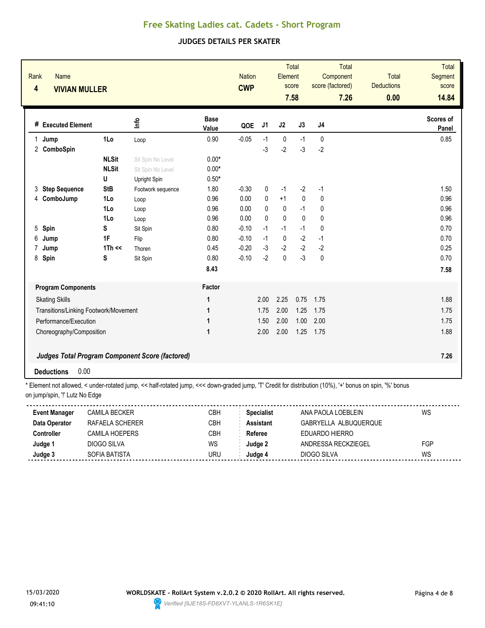## **JUDGES DETAILS PER SKATER**

| Rank<br>4      | <b>Name</b><br><b>VIVIAN MULLER</b>   |              |                                                        |                      | <b>Nation</b><br><b>CWP</b> |              | Element      | <b>Total</b><br>score<br>7.58 | score (factored) | Total<br>Component<br>7.26 | <b>Total</b><br><b>Deductions</b><br>0.00 | <b>Total</b><br>Segment<br>score<br>14.84 |
|----------------|---------------------------------------|--------------|--------------------------------------------------------|----------------------|-----------------------------|--------------|--------------|-------------------------------|------------------|----------------------------|-------------------------------------------|-------------------------------------------|
|                | # Executed Element                    |              | ۴ů                                                     | <b>Base</b><br>Value | QOE                         | J1           | J2           | J3                            | J4               |                            |                                           | Scores of<br>Panel                        |
| $\mathbf{1}$   | Jump                                  | 1Lo          | Loop                                                   | 0.90                 | $-0.05$                     | $-1$         | $\mathbf 0$  | $-1$                          | 0                |                            |                                           | 0.85                                      |
|                | 2 ComboSpin                           |              |                                                        |                      |                             | $-3$         | $-2$         | $-3$                          | $-2$             |                            |                                           |                                           |
|                |                                       | <b>NLSit</b> | Sit Spin No Level                                      | $0.00*$              |                             |              |              |                               |                  |                            |                                           |                                           |
|                |                                       | <b>NLSit</b> | Sit Spin No Level                                      | $0.00*$              |                             |              |              |                               |                  |                            |                                           |                                           |
|                |                                       | U            | Upright Spin                                           | $0.50*$              |                             |              |              |                               |                  |                            |                                           |                                           |
| 3              | <b>Step Sequence</b>                  | <b>StB</b>   | Footwork sequence                                      | 1.80                 | $-0.30$                     | 0            | $-1$         | $-2$                          | $-1$             |                            |                                           | 1.50                                      |
| 4              | ComboJump                             | 1Lo          | Loop                                                   | 0.96                 | 0.00                        | 0            | $+1$         | $\mathbf{0}$                  | 0                |                            |                                           | 0.96                                      |
|                |                                       | 1Lo          | Loop                                                   | 0.96                 | 0.00                        | $\mathbf{0}$ | $\mathbf{0}$ | $-1$                          | 0                |                            |                                           | 0.96                                      |
|                |                                       | 1Lo          | Loop                                                   | 0.96                 | 0.00                        | $\mathbf{0}$ | $\mathbf 0$  | $\mathbf 0$                   | 0                |                            |                                           | 0.96                                      |
| 5 <sup>5</sup> | Spin                                  | S            | Sit Spin                                               | 0.80                 | $-0.10$                     | $-1$         | $-1$         | $-1$                          | $\mathbf 0$      |                            |                                           | 0.70                                      |
| 6              | Jump                                  | 1F           | Flip                                                   | 0.80                 | $-0.10$                     | $-1$         | $\mathbf 0$  | $-2$                          | $-1$             |                            |                                           | 0.70                                      |
| 7              | Jump                                  | $1Th \ll$    | Thoren                                                 | 0.45                 | $-0.20$                     | $-3$<br>$-2$ | $-2$         | $-2$<br>$-3$                  | $-2$             |                            |                                           | 0.25                                      |
| 8              | Spin                                  | S            | Sit Spin                                               | 0.80                 | $-0.10$                     |              | $\pmb{0}$    |                               | $\pmb{0}$        |                            |                                           | 0.70                                      |
|                |                                       |              |                                                        | 8.43                 |                             |              |              |                               |                  |                            |                                           | 7.58                                      |
|                | <b>Program Components</b>             |              |                                                        | Factor               |                             |              |              |                               |                  |                            |                                           |                                           |
|                | <b>Skating Skills</b>                 |              |                                                        | 1                    |                             | 2.00         | 2.25         | 0.75                          | 1.75             |                            |                                           | 1.88                                      |
|                | Transitions/Linking Footwork/Movement |              |                                                        | 1                    |                             | 1.75         | 2.00         | 1.25                          | 1.75             |                            |                                           | 1.75                                      |
|                | Performance/Execution                 |              |                                                        | 1                    |                             | 1.50         | 2.00         | 1.00                          | 2.00             |                            |                                           | 1.75                                      |
|                | Choreography/Composition              |              |                                                        | $\mathbf 1$          |                             | 2.00         | 2.00         | 1.25                          | 1.75             |                            |                                           | 1.88                                      |
|                |                                       |              |                                                        |                      |                             |              |              |                               |                  |                            |                                           |                                           |
|                |                                       |              | <b>Judges Total Program Component Score (factored)</b> |                      |                             |              |              |                               |                  |                            |                                           | 7.26                                      |
|                | 0.00<br><b>Deductions</b>             |              |                                                        |                      |                             |              |              |                               |                  |                            |                                           |                                           |

| <b>Event Manager</b> | <b>CAMILA BECKER</b> | СВН | <b>Specialist</b> | ANA PAOLA LOEBLEIN    | WS  |
|----------------------|----------------------|-----|-------------------|-----------------------|-----|
| Data Operator        | RAFAELA SCHERER      | CBH | <b>Assistant</b>  | GABRYELLA ALBUQUERQUE |     |
| <b>Controller</b>    | CAMILA HOFPFRS       | СВН | Referee           | FDUARDO HIFRRO        |     |
| Judge 1              | DIOGO SILVA          | WS  | Judge 2           | ANDRESSA RECKZIEGEL   | FGP |
| Judge 3              | SOFIA BATISTA        | uru | Judge 4           | DIOGO SILVA           | WS  |
|                      |                      |     |                   |                       |     |

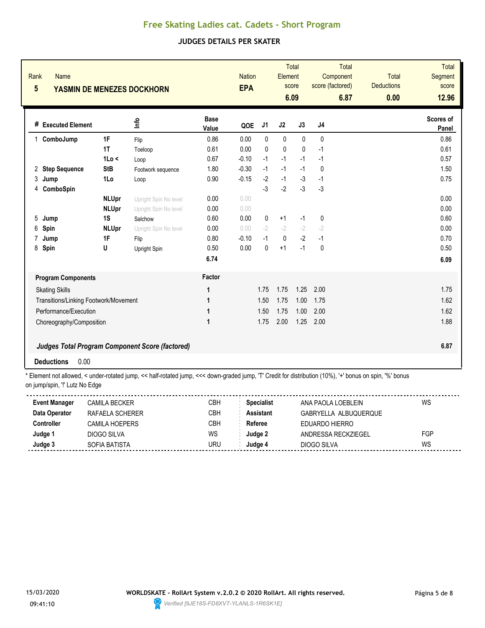## **JUDGES DETAILS PER SKATER**

| Rank<br>$5\phantom{.0}$ | <b>Name</b>                           |              | YASMIN DE MENEZES DOCKHORN                             |                      | <b>Nation</b><br><b>EPA</b> |              | Element     | <b>Total</b><br>score<br>6.09 | <b>Total</b><br>Component<br>score (factored)<br>6.87 | <b>Total</b><br><b>Deductions</b><br>0.00 | <b>Total</b><br><b>Segment</b><br>score<br>12.96 |
|-------------------------|---------------------------------------|--------------|--------------------------------------------------------|----------------------|-----------------------------|--------------|-------------|-------------------------------|-------------------------------------------------------|-------------------------------------------|--------------------------------------------------|
|                         | # Executed Element                    |              | 울                                                      | <b>Base</b><br>Value | QOE                         | J1           | J2          | J3                            | J4                                                    |                                           | Scores of<br>Panel                               |
| 1                       | ComboJump                             | 1F           | Flip                                                   | 0.86                 | 0.00                        | $\mathbf{0}$ | $\mathbf 0$ | $\mathbf{0}$                  | 0                                                     |                                           | 0.86                                             |
|                         |                                       | 1T           | Toeloop                                                | 0.61                 | 0.00                        | 0            | 0           | $\mathbf{0}$                  | $-1$                                                  |                                           | 0.61                                             |
|                         |                                       | 1Lo <        | Loop                                                   | 0.67                 | $-0.10$                     | $-1$         | $-1$        | $-1$                          | $-1$                                                  |                                           | 0.57                                             |
| 2                       | <b>Step Sequence</b>                  | <b>StB</b>   | Footwork sequence                                      | 1.80                 | $-0.30$                     | $-1$         | $-1$        | $-1$                          | $\mathbf{0}$                                          |                                           | 1.50                                             |
| 3                       | Jump                                  | 1Lo          | Loop                                                   | 0.90                 | $-0.15$                     | $-2$         | $-1$        | $-3$                          | $-1$                                                  |                                           | 0.75                                             |
| 4                       | ComboSpin                             |              |                                                        |                      |                             | $-3$         | $-2$        | $-3$                          | $-3$                                                  |                                           |                                                  |
|                         |                                       | <b>NLUpr</b> | Upright Spin No level                                  | 0.00                 | 0.00                        |              |             |                               |                                                       |                                           | 0.00                                             |
|                         |                                       | <b>NLUpr</b> | Upright Spin No level                                  | 0.00                 | 0.00                        |              |             |                               |                                                       |                                           | 0.00                                             |
| 5                       | Jump                                  | 1S           | Salchow                                                | 0.60                 | 0.00                        | 0            | $+1$        | $-1$                          | $\mathbf 0$                                           |                                           | 0.60                                             |
| 6                       | Spin                                  | <b>NLUpr</b> | Upright Spin No level                                  | 0.00                 | 0.00                        | $-2$         | $-2$        | $-2$                          | $-2$                                                  |                                           | 0.00                                             |
| 7                       | Jump                                  | 1F           | Flip                                                   | 0.80                 | $-0.10$                     | $-1$         | $\pmb{0}$   | $-2$                          | $-1$                                                  |                                           | 0.70                                             |
| 8                       | Spin                                  | U            | Upright Spin                                           | 0.50                 | 0.00                        | 0            | $+1$        | $-1$                          | 0                                                     |                                           | 0.50                                             |
|                         |                                       |              |                                                        | 6.74                 |                             |              |             |                               |                                                       |                                           | 6.09                                             |
|                         | <b>Program Components</b>             |              |                                                        | Factor               |                             |              |             |                               |                                                       |                                           |                                                  |
|                         | <b>Skating Skills</b>                 |              |                                                        | 1                    |                             | 1.75         | 1.75        | 1.25                          | 2.00                                                  |                                           | 1.75                                             |
|                         | Transitions/Linking Footwork/Movement |              |                                                        | 1                    |                             | 1.50         | 1.75        | 1.00                          | 1.75                                                  |                                           | 1.62                                             |
|                         | Performance/Execution                 |              |                                                        | 1                    |                             | 1.50         | 1.75        | 1.00                          | 2.00                                                  |                                           | 1.62                                             |
|                         | Choreography/Composition              |              |                                                        | $\mathbf{1}$         |                             | 1.75         | 2.00        | 1.25                          | 2.00                                                  |                                           | 1.88                                             |
|                         | 0.00<br><b>Deductions</b>             |              | <b>Judges Total Program Component Score (factored)</b> |                      |                             |              |             |                               |                                                       |                                           | 6.87                                             |

| <b>Event Manager</b> | CAMILA BECKER   | CBH | <b>Specialist</b> | ANA PAOLA LOEBLEIN    | WS  |
|----------------------|-----------------|-----|-------------------|-----------------------|-----|
| Data Operator        | RAFAELA SCHERER | CBH | <b>Assistant</b>  | GABRYELLA ALBUQUERQUE |     |
| Controller           | CAMILA HOEPERS  | СВН | Referee           | EDUARDO HIERRO        |     |
| Judge 1              | DIOGO SILVA     | WS  | Judge 2           | ANDRESSA RECKZIEGEL   | FGP |
| Judge 3              | SOFIA BATISTA   | URU | Judge 4           | DIOGO SILVA           | WS  |

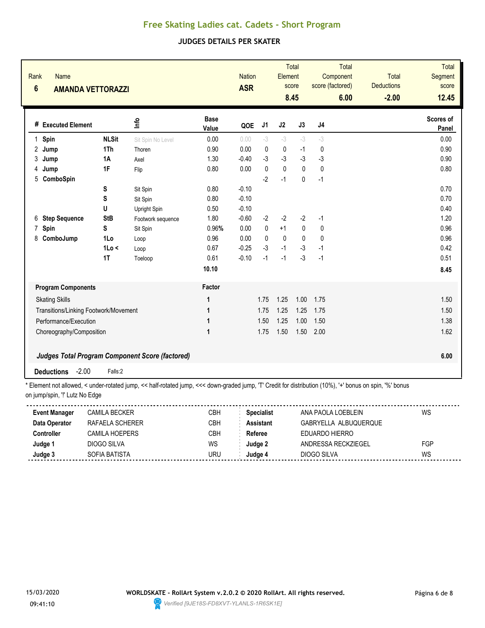## **JUDGES DETAILS PER SKATER**

| Rank<br><b>Name</b><br>$6\phantom{1}$ | <b>AMANDA VETTORAZZI</b>              |                                                        |                      | <b>Nation</b><br><b>ASR</b> |                | Element      | <b>Total</b><br>score<br>8.45 | score (factored) | Total<br>Component<br>6.00 | <b>Total</b><br><b>Deductions</b><br>$-2.00$ | <b>Total</b><br>Segment<br>score<br>12.45 |
|---------------------------------------|---------------------------------------|--------------------------------------------------------|----------------------|-----------------------------|----------------|--------------|-------------------------------|------------------|----------------------------|----------------------------------------------|-------------------------------------------|
| # Executed Element                    |                                       | ۴ů                                                     | <b>Base</b><br>Value | QOE                         | J <sub>1</sub> | J2           | J3                            | J <sub>4</sub>   |                            |                                              | Scores of<br>Panel                        |
| $\mathbf{1}$<br>Spin                  | <b>NLSit</b>                          | Sit Spin No Level                                      | 0.00                 | 0.00                        | $-3$           | $-3$         | $-3$                          | $-3$             |                            |                                              | 0.00                                      |
| 2<br>Jump                             | 1Th                                   | Thoren                                                 | 0.90                 | 0.00                        | 0              | $\pmb{0}$    | $-1$                          | 0                |                            |                                              | 0.90                                      |
| 3<br>Jump                             | <b>1A</b>                             | Axel                                                   | 1.30                 | $-0.40$                     | $-3$           | $-3$         | $-3$                          | $-3$             |                            |                                              | 0.90                                      |
| Jump<br>4                             | 1F                                    | Flip                                                   | 0.80                 | 0.00                        | $\Omega$       | $\mathbf{0}$ | $\mathbf{0}$                  | $\mathbf{0}$     |                            |                                              | 0.80                                      |
| 5<br>ComboSpin                        |                                       |                                                        |                      |                             | $-2$           | $-1$         | 0                             | $-1$             |                            |                                              |                                           |
|                                       | S                                     | Sit Spin                                               | 0.80                 | $-0.10$                     |                |              |                               |                  |                            |                                              | 0.70                                      |
|                                       | S                                     | Sit Spin                                               | 0.80                 | $-0.10$                     |                |              |                               |                  |                            |                                              | 0.70                                      |
|                                       | U                                     | Upright Spin                                           | 0.50                 | $-0.10$                     |                |              |                               |                  |                            |                                              | 0.40                                      |
| <b>Step Sequence</b><br>6             | <b>StB</b>                            | Footwork sequence                                      | 1.80                 | $-0.60$                     | $-2$           | $-2$         | $-2$                          | $-1$             |                            |                                              | 1.20                                      |
| Spin<br>7                             | S                                     | Sit Spin                                               | 0.96%                | 0.00                        | $\mathbf{0}$   | $+1$         | 0                             | $\mathbf{0}$     |                            |                                              | 0.96                                      |
| 8<br>ComboJump                        | 1Lo                                   | Loop                                                   | 0.96                 | 0.00                        | $\mathbf{0}$   | 0            | $\mathbf 0$                   | 0                |                            |                                              | 0.96                                      |
|                                       | 1Lo <                                 | Loop                                                   | 0.67                 | $-0.25$                     | $-3$           | $-1$         | $-3$                          | $-1$             |                            |                                              | 0.42                                      |
|                                       | 1T                                    | Toeloop                                                | 0.61                 | $-0.10$                     | $-1$           | $-1$         | $-3$                          | $-1$             |                            |                                              | 0.51                                      |
|                                       |                                       |                                                        | 10.10                |                             |                |              |                               |                  |                            |                                              | 8.45                                      |
| <b>Program Components</b>             |                                       |                                                        | Factor               |                             |                |              |                               |                  |                            |                                              |                                           |
| <b>Skating Skills</b>                 |                                       |                                                        | 1                    |                             | 1.75           | 1.25         | 1.00                          | 1.75             |                            |                                              | 1.50                                      |
|                                       | Transitions/Linking Footwork/Movement |                                                        | 1                    |                             | 1.75           | 1.25         | 1.25                          | 1.75             |                            |                                              | 1.50                                      |
| Performance/Execution                 |                                       |                                                        | 1                    |                             | 1.50           | 1.25         | 1.00                          | 1.50             |                            |                                              | 1.38                                      |
| Choreography/Composition              |                                       |                                                        | 1                    |                             | 1.75           | 1.50         | 1.50                          | 2.00             |                            |                                              | 1.62                                      |
|                                       |                                       | <b>Judges Total Program Component Score (factored)</b> |                      |                             |                |              |                               |                  |                            |                                              | 6.00                                      |
| <b>Deductions</b>                     | $-2.00$<br>Falls:2                    |                                                        |                      |                             |                |              |                               |                  |                            |                                              |                                           |

| <b>Event Manager</b> | CAMILA BECKER   | СВН | <b>Specialist</b> | ANA PAOLA LOEBLEIN    | WS  |
|----------------------|-----------------|-----|-------------------|-----------------------|-----|
| Data Operator        | RAFAELA SCHERER | СВН | Assistant         | GABRYELLA ALBUQUERQUE |     |
| Controller           | CAMII A HOFPFRS | СВН | Referee           | FDUARDO HIFRRO        |     |
| Judge 1              | DIOGO SILVA     | WS  | Judae 2           | ANDRESSA RECKZIEGEL   | FGP |
| Judge 3              | SOFIA BATISTA   | URU | Judqe 4           | DIOGO SILVA           | WS  |
|                      |                 |     |                   |                       |     |

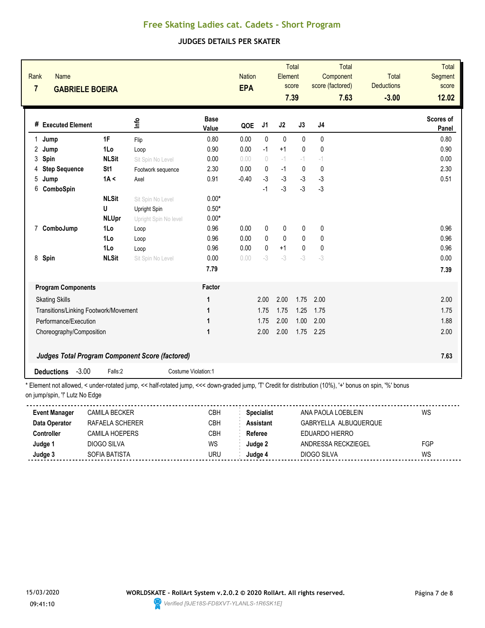## **JUDGES DETAILS PER SKATER**

| Rank<br><b>Name</b><br>$\overline{7}$<br><b>GABRIELE BOEIRA</b> |              |                                                        |                      | <b>Nation</b><br><b>EPA</b> |              | Element     | Total<br>score<br>7.39 | score (factored) | Total<br>Component<br>7.63 | Total<br><b>Deductions</b><br>$-3.00$ | <b>Total</b><br>Segment<br>score<br>12.02 |
|-----------------------------------------------------------------|--------------|--------------------------------------------------------|----------------------|-----------------------------|--------------|-------------|------------------------|------------------|----------------------------|---------------------------------------|-------------------------------------------|
| # Executed Element                                              |              | ۵'n                                                    | <b>Base</b><br>Value | QOE                         | J1           | J2          | J3                     | J4               |                            |                                       | Scores of<br>Panel                        |
| Jump<br>1                                                       | 1F           | Flip                                                   | 0.80                 | 0.00                        | 0            | $\mathbf 0$ | 0                      | 0                |                            |                                       | 0.80                                      |
| 2<br>Jump                                                       | 1Lo          | Loop                                                   | 0.90                 | 0.00                        | $-1$         | $+1$        | $\mathbf{0}$           | 0                |                            |                                       | 0.90                                      |
| 3<br>Spin                                                       | <b>NLSit</b> | Sit Spin No Level                                      | 0.00                 | 0.00                        | $\theta$     | $-1$        | $-1$                   | $-1$             |                            |                                       | 0.00                                      |
| <b>Step Sequence</b><br>4                                       | St1          | Footwork sequence                                      | 2.30                 | 0.00                        | 0            | $-1$        | $\mathbf 0$            | $\mathbf 0$      |                            |                                       | 2.30                                      |
| 5<br>Jump                                                       | 1A <         | Axel                                                   | 0.91                 | $-0.40$                     | $-3$         | $-3$        | $-3$                   | $-3$             |                            |                                       | 0.51                                      |
| 6<br>ComboSpin                                                  |              |                                                        |                      |                             | $-1$         | $-3$        | $-3$                   | $-3$             |                            |                                       |                                           |
|                                                                 | <b>NLSit</b> | Sit Spin No Level                                      | $0.00*$              |                             |              |             |                        |                  |                            |                                       |                                           |
|                                                                 | U            | Upright Spin                                           | $0.50*$              |                             |              |             |                        |                  |                            |                                       |                                           |
|                                                                 | <b>NLUpr</b> | Upright Spin No level                                  | $0.00*$              |                             |              |             |                        |                  |                            |                                       |                                           |
| ComboJump<br>$\overline{7}$                                     | 1Lo          | Loop                                                   | 0.96                 | 0.00                        | 0            | 0           | 0                      | 0                |                            |                                       | 0.96                                      |
|                                                                 | 1Lo          | Loop                                                   | 0.96                 | 0.00                        | $\mathbf{0}$ | $\mathbf 0$ | 0                      | 0                |                            |                                       | 0.96                                      |
|                                                                 | 1Lo          | Loop                                                   | 0.96                 | 0.00                        | $\mathbf{0}$ | $+1$        | 0                      | $\mathbf 0$      |                            |                                       | 0.96                                      |
| 8 Spin                                                          | <b>NLSit</b> | Sit Spin No Level                                      | 0.00                 | 0.00                        | $-3$         | $-3$        | $-3$                   | $-3$             |                            |                                       | 0.00                                      |
|                                                                 |              |                                                        | 7.79                 |                             |              |             |                        |                  |                            |                                       | 7.39                                      |
| <b>Program Components</b>                                       |              |                                                        | Factor               |                             |              |             |                        |                  |                            |                                       |                                           |
| <b>Skating Skills</b>                                           |              |                                                        | 1                    |                             | 2.00         | 2.00        | 1.75                   | 2.00             |                            |                                       | 2.00                                      |
| Transitions/Linking Footwork/Movement                           |              |                                                        | 1                    |                             | 1.75         | 1.75        | 1.25                   | 1.75             |                            |                                       | 1.75                                      |
| Performance/Execution                                           |              |                                                        | 1                    |                             | 1.75         | 2.00        | 1.00                   | 2.00             |                            |                                       | 1.88                                      |
| Choreography/Composition                                        |              |                                                        | 1                    |                             | 2.00         | 2.00        | 1.75                   | 2.25             |                            |                                       | 2.00                                      |
|                                                                 |              | <b>Judges Total Program Component Score (factored)</b> |                      |                             |              |             |                        |                  |                            |                                       | 7.63                                      |
| $-3.00$<br><b>Deductions</b>                                    | Falls:2      | Costume Violation:1                                    |                      |                             |              |             |                        |                  |                            |                                       |                                           |

on jump/spin, "!' Lutz No Edge

| <b>Event Manager</b> | CAMILA BECKER    | СВН | <b>Specialist</b> | ANA PAOLA LOEBLEIN    | WS  |
|----------------------|------------------|-----|-------------------|-----------------------|-----|
| Data Operator        | RAFAFI A SCHFRFR | CBH | <b>Assistant</b>  | GABRYELLA ALBUQUERQUE |     |
| <b>Controller</b>    | CAMILA HOEPERS   | CBH | Referee           | EDUARDO HIERRO        |     |
| Judge 1              | DIOGO SILVA      | WS  | Judge 2           | ANDRESSA RECKZIEGEL   | FGP |
| Judge 3              | SOFIA BATISTA    | uru | Judae 4           | DIOGO SILVA           | WS  |
|                      |                  |     |                   |                       |     |